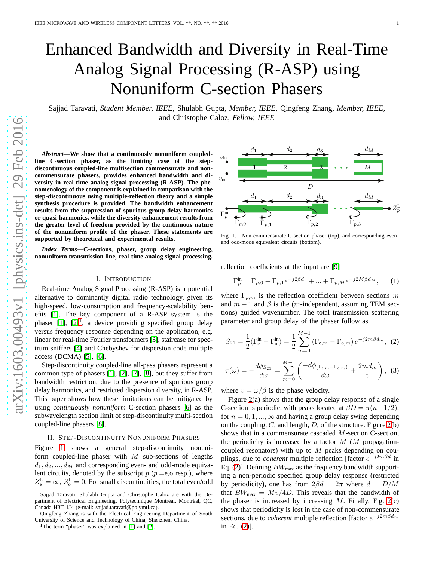# Enhanced Bandwidth and Diversity in Real-Time Analog Signal Processing (R-ASP) using Nonuniform C-section Phasers

Sajjad Taravati, *Student Member, IEEE,* Shulabh Gupta, *Member, IEEE,* Qingfeng Zhang, *Member, IEEE,* and Christophe Caloz, *Fellow, IEEE*

*Abstract***—We show that a continuously nonuniform coupled-**Dvin **line C-section phaser, as the limiting case of the stepdiscontinuous coupled-line multisection commensurate and noncommensurate phasers, provides enhanced bandwidth and diversity in real-time analog signal processing (R-ASP). The phenomenology of the component is explained in comparison with the step-discontinuous using multiple-reflection theory and a simple synthesis procedure is provided. The bandwidth enhancement results from the suppression of spurious group delay harmonics or quasi-harmonics, while the diversity enhancement results from the greater level of freedom provided by the continuous nature of the nonuniform profile of the phaser. These statements are supported by theoretical and experimental results.**

*Index Terms***—C-sections, phaser, group delay engineering, nonuniform transmission line, real-time analog signal processing.**

#### I. INTRODUCTION

Real-time Analog Signal Processing (R-ASP) is a potential alternative to dominantly digital radio technology, given its high-speed, low-consumption and frequency-scalability benefits [\[1\]](#page-2-0). The key component of a R-ASP system is the phaser  $[1]$ ,  $[2]^1$  $[2]^1$ , a device providing specified group delay versus frequency response depending on the application, e.g. linear for real-time Fourier transformers [\[3\]](#page-2-2), staircase for spectrum sniffers [\[4\]](#page-2-3) and Chebyshev for dispersion code multiple access (DCMA) [\[5\]](#page-2-4), [\[6\]](#page-2-5).

Step-discontinuity coupled-line all-pass phasers represent a common type of phasers [\[1\]](#page-2-0), [\[2\]](#page-2-1), [\[7\]](#page-2-6), [\[8\]](#page-2-7), but they suffer from bandwidth restriction, due to the presence of spurious group delay harmonics, and restricted dispersion diversity, in R-ASP. This paper shows how these limitations can be mitigated by using *continuously nonuniform* C-section phasers [\[6\]](#page-2-5) as the subwavelength section limit of step-discontinuity multi-section coupled-line phasers [\[8\]](#page-2-7).

#### <span id="page-0-4"></span>II. STEP-DISCONTINUITY NONUNIFORM PHASERS

Figure [1](#page-0-1) shows a general step-discontinuity nonuniform coupled-line phaser with  $M$  sub-sections of lengths  $d_1, d_2, ..., d_M$  and corresponding even- and odd-mode equivalent circuits, denoted by the subscript  $p$  ( $p = e$ , o resp.), where  $Z_e^{\text{L}} = \infty$ ,  $Z_o^{\text{L}} = 0$ . For small discontinuities, the total even/odd

Sajjad Taravati, Shulabh Gupta and Christophe Caloz are with the Department of Electrical Engineering, Polytechnique Montréal, Montréal, QC, Canada H3T 1J4 (e-mail: sajjad.taravati@polymtl.ca).

Qingfeng Zhang is with the Electrical Engineering Department of South University of Science and Technology of China, Shenzhen, China.



<span id="page-0-1"></span>Fig. 1. Non-commensurate C-section phaser (top), and corresponding evenand odd-mode equivalent circuits (bottom).

reflection coefficients at the input are [\[9\]](#page-2-8)

$$
\Gamma_p^{\text{in}} = \Gamma_{p,0} + \Gamma_{p,1} e^{-j2\beta d_1} + \dots + \Gamma_{p,M} e^{-j2M\beta d_M}, \quad (1)
$$

where  $\Gamma_{p,m}$  is the reflection coefficient between sections m and  $m + 1$  and  $\beta$  is the (m-independent, assuming TEM sections) guided wavenumber. The total transmission scattering parameter and group delay of the phaser follow as

<span id="page-0-2"></span>
$$
S_{21} = \frac{1}{2} (\Gamma_e^{\text{in}} - \Gamma_o^{\text{in}}) = \frac{1}{2} \sum_{m=0}^{M-1} (\Gamma_{e,m} - \Gamma_{o,m}) e^{-j2m\beta d_m}, \tag{2}
$$

<span id="page-0-3"></span>
$$
\tau(\omega) = -\frac{d\phi_{S_{21}}}{d\omega} = \sum_{m=0}^{M-1} \left( \frac{-d\phi_{(\Gamma_{e,m} - \Gamma_{o,m})}}{d\omega} + \frac{2md_m}{v} \right), \tag{3}
$$

where  $v = \omega/\beta$  is the phase velocity.

Figure [2\(](#page-1-0)a) shows that the group delay response of a single C-section is periodic, with peaks located at  $\beta D = \pi (n + 1/2)$ , for  $n = 0, 1, ..., \infty$  and having a group delay swing depending on the coupling,  $C$ , and length,  $D$ , of the structure. Figure [2\(](#page-1-0)b) shows that in a commensurate cascaded M-section C-section, the periodicity is increased by a factor  $M$  ( $M$  propagationcoupled resonators) with up to  $M$  peaks depending on couplings, due to *coherent* multiple reflection [factor  $e^{-j2m\beta d}$  in Eq. [\(2\)](#page-0-2)]. Defining  $BW_{\text{max}}$  as the frequency bandwidth supporting a non-periodic specified group delay response (restricted by periodicity), one has from  $2\beta d = 2\pi$  where  $d = D/M$ that  $BW_{\text{max}} = Mv/4D$ . This reveals that the bandwidth of the phaser is increased by increasing  $M$ . Finally, Fig. [2\(](#page-1-0)c) shows that periodicity is lost in the case of non-commensurate sections, due to *coherent* multiple reflection [factor  $e^{-j2m\beta d_m}$ in Eq. [\(2\)](#page-0-2)].

<span id="page-0-0"></span><sup>&</sup>lt;sup>1</sup>The term "phaser" was explained in [\[1\]](#page-2-0) and [\[2\]](#page-2-1).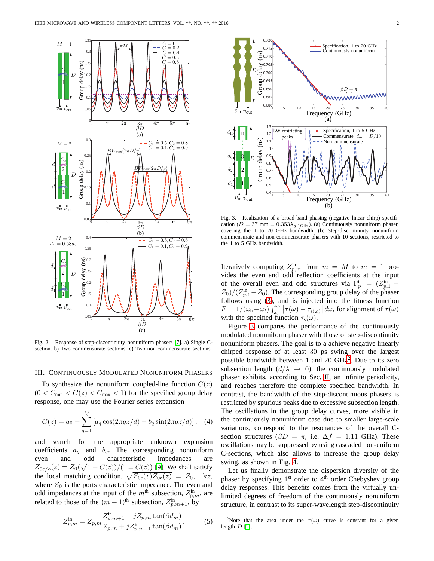Sfrag replacements



<span id="page-1-0"></span>Fig. 2. Response of step-discontinuity nonuniform phasers [\[7\]](#page-2-6). a) Single Csection. b) Two commensurate sections. c) Two non-commensurate sections.

### <span id="page-1-3"></span>III. CONTINUOUSLY MODULATED NONUNIFORM PHASERS

To synthesize the nonuniform coupled-line function  $C(z)$  $(0 < C_{\min} < C(z) < C_{\max} < 1)$  for the specified group delay response, one may use the Fourier series expansion

<span id="page-1-4"></span>
$$
C(z) = a_0 + \sum_{q=1}^{Q} \left[ a_q \cos(2\pi q z/d) + b_q \sin(2\pi q z/d) \right], \quad (4)
$$

and search for the appropriate unknown expansion coefficients  $a_q$  and  $b_q$ . The corresponding nonuniform even and odd characteristic impedances are  $Z_{0e/o}(z) = Z_0(\sqrt{1 \pm C(z)})/(1 \mp \overline{C(z)})$  [\[9\]](#page-2-8). We shall satisfy the local matching condition,  $\sqrt{Z_{0e}(z)Z_{0o}(z)} = Z_0, \quad \forall z$ , where  $Z_0$  is the ports characteristic impedance. The even and odd impedances at the input of the  $m<sup>th</sup>$  subsection,  $Z_{p,m}$ , are related to those of the  $(m+1)$ <sup>th</sup> subsection,  $Z_{p,m+1}^{in}$ , by

$$
Z_{p,m}^{\text{in}} = Z_{p,m} \frac{Z_{p,m+1}^{\text{in}} + j Z_{p,m} \tan(\beta d_m)}{Z_{p,m} + j Z_{p,m+1}^{\text{in}} \tan(\beta d_m)}.
$$
 (5)



<span id="page-1-1"></span>Fig. 3. Realization of a broad-band phasing (negative linear chirp) specification ( $D = 37$  mm =  $0.353\lambda_{g,1\text{GHz}}$ ). (a) Continuously nonuniform phaser, covering the 1 to 20 GHz bandwidth. (b) Step-discontinuity nonuniform commensurate and non-commensurate phasers with 10 sections, restricted to the 1 to 5 GHz bandwidth.

Iteratively computing  $Z_{p,m}^{\text{in}}$  from  $m = M$  to  $m = 1$  provides the even and odd reflection coefficients at the input of the overall even and odd structures via  $\Gamma_p^{\text{in}} = (Z_{p,1}^{\text{in}} Z_0$ / $(Z_{p,1}^{\text{in}}+Z_0)$ . The corresponding group delay of the phaser follows using [\(3\)](#page-0-3), and is injected into the fitness function  $F = 1/(\omega_h - \omega_l) \int_{\omega_l}^{\omega_h} |\tau(\omega) - \tau_{s(\omega)}| d\omega$ , for alignment of  $\tau(\omega)$ with the specified function  $\tau_s(\omega)$ .

Figure [3](#page-1-1) compares the performance of the continuously modulated nonuniform phaser with those of step-discontinuity nonuniform phasers. The goal is to a achieve negative linearly chirped response of at least 30 ps swing over the largest possible bandwidth between 1 and [2](#page-1-2)0  $\text{GHz}^2$ . Due to its zero subsection length  $(d/\lambda \rightarrow 0)$ , the continuously modulated phaser exhibits, according to Sec. [II,](#page-0-4) an infinite periodicity, and reaches therefore the complete specified bandwidth. In contrast, the bandwidth of the step-discontinuous phasers is restricted by spurious peaks due to excessive subsection length. The oscillations in the group delay curves, more visible in the continuously nonuniform case due to smaller large-scale variations, correspond to the resonances of the overall Csection structures ( $\beta D = \pi$ , i.e.  $\Delta f = 1.11$  GHz). These oscillations may be suppressed by using cascaded non-uniform C-sections, which also allows to increase the group delay swing, as shown in Fig. [4.](#page-2-9)

Let us finally demonstrate the dispersion diversity of the phaser by specifying 1<sup>st</sup> order to 4<sup>th</sup> order Chebyshev group delay responses. This benefits comes from the virtually unlimited degrees of freedom of the continuously nonuniform structure, in contrast to its super-wavelength step-discontinuity

<span id="page-1-2"></span><sup>2</sup>Note that the area under the  $\tau(\omega)$  curve is constant for a given length  $D$  [\[2\]](#page-2-1).